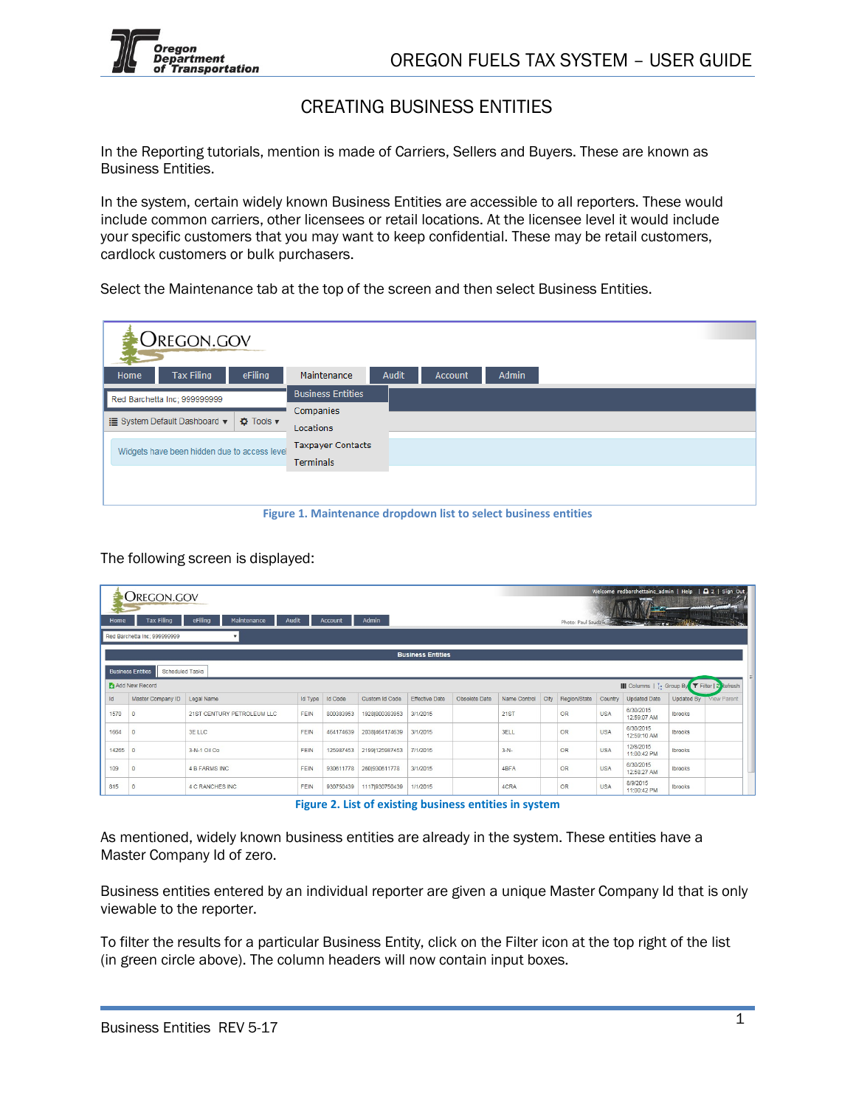

## CREATING BUSINESS ENTITIES

In the Reporting tutorials, mention is made of Carriers, Sellers and Buyers. These are known as Business Entities.

In the system, certain widely known Business Entities are accessible to all reporters. These would include common carriers, other licensees or retail locations. At the licensee level it would include your specific customers that you may want to keep confidential. These may be retail customers, cardlock customers or bulk purchasers.

Select the Maintenance tab at the top of the screen and then select Business Entities.

|      | OREGON.GOV                                   |                                  |                          |                                                                                 |                |                                                                                                                                                                                                                                  |           |
|------|----------------------------------------------|----------------------------------|--------------------------|---------------------------------------------------------------------------------|----------------|----------------------------------------------------------------------------------------------------------------------------------------------------------------------------------------------------------------------------------|-----------|
| Home | <b>Tax Filing</b>                            | eFiling                          | Maintenance              | Audit                                                                           | <b>Account</b> | Admin                                                                                                                                                                                                                            |           |
|      | Red Barchetta Inc; 999999999                 |                                  | <b>Business Entities</b> |                                                                                 |                |                                                                                                                                                                                                                                  |           |
|      |                                              |                                  | Companies                |                                                                                 |                |                                                                                                                                                                                                                                  |           |
|      | <b>E</b> System Default Dashboard ▼          | <b><math>\Phi</math></b> Tools ▼ | Locations                |                                                                                 |                |                                                                                                                                                                                                                                  |           |
|      | Widgets have been hidden due to access level |                                  | <b>Taxpayer Contacts</b> |                                                                                 |                |                                                                                                                                                                                                                                  |           |
|      |                                              |                                  | <b>Terminals</b>         |                                                                                 |                |                                                                                                                                                                                                                                  |           |
|      |                                              |                                  |                          |                                                                                 |                |                                                                                                                                                                                                                                  |           |
|      |                                              |                                  |                          |                                                                                 |                |                                                                                                                                                                                                                                  |           |
|      |                                              | --                               |                          | the contract of the contract of the contract of the contract of the contract of |                | $\frac{1}{2}$ . The set of the set of the set of the set of the set of the set of the set of the set of the set of the set of the set of the set of the set of the set of the set of the set of the set of the set of the set of | $-0.0000$ |

**Figure 1. Maintenance dropdown list to select business entities** 

The following screen is displayed:

| Home  | OREGON.GOV<br><b>Tax Filing</b>             | eFiling<br>Maintenance     | Audit   | Account        | Admin          |                          |               |              |      |                     |            | Welcome redbarchettainc admin   Help   $\Box$ 2   Sign Out |            |                    |
|-------|---------------------------------------------|----------------------------|---------|----------------|----------------|--------------------------|---------------|--------------|------|---------------------|------------|------------------------------------------------------------|------------|--------------------|
|       | Red Barchetta Inc: 999999999                | $\mathbf{v}$               |         |                |                |                          |               |              |      | Photo: Paul Szudzik |            | T                                                          |            |                    |
|       |                                             |                            |         |                |                | <b>Business Entities</b> |               |              |      |                     |            |                                                            |            |                    |
|       | <b>Business Entities</b><br>Scheduled Tasks |                            |         |                |                |                          |               |              |      |                     |            |                                                            |            |                    |
|       | Add New Record                              |                            |         |                |                |                          |               |              |      |                     |            | III Columns   :- Group By   T Filter   2 Refresh           |            |                    |
| Id    | Master Company ID                           | Legal Name                 | Id Type | <b>Id Code</b> | Custom Id Code | <b>Effective Date</b>    | Obsolete Date | Name Control | City | Region/State        | Country    | <b>Updated Date</b>                                        | Updated By | <b>View Parent</b> |
| 1570  | $\mathbf{0}$                                | 21ST CENTURY PETROLEUM LLC | FEIN    | 800383953      | 1928 800383953 | 3/1/2015                 |               | <b>21ST</b>  |      | <b>OR</b>           | <b>USA</b> | 6/30/2015<br>12:59:07 AM                                   | Ibrooks    |                    |
| 1664  | $\Omega$                                    | 3E LLC                     | FEIN    | 464174639      | 20381464174639 | 3/1/2015                 |               | 3ELL         |      | OR                  | <b>USA</b> | 6/30/2015<br>12:59:10 AM                                   | Ibrooks    |                    |
| 14265 | $\bf{0}$                                    | 3-N-1 Oil Co               | FEIN    | 125987453      | 2199 125987453 | 7/1/2015                 |               | $3-N-$       |      | OR                  | <b>USA</b> | 12/8/2015<br>11:00:42 PM                                   | Ibrooks    |                    |
| 109   | $\mathbf{0}$                                | <b>4 B FARMS INC</b>       | FEIN    | 930611778      | 260 930 611778 | 3/1/2015                 |               | 4BFA         |      | OR                  | <b>USA</b> | 6/30/2015<br>12:58:27 AM                                   | Ibrooks    |                    |
| 815   | $\Omega$                                    | <b>4 C RANCHES INC</b>     | FEIN    | 930750439      | 1117 930750439 | 1/1/2015                 |               | 4CRA         |      | OR                  | <b>USA</b> | 8/9/2015<br>11:00:42 PM                                    | Ibrooks    |                    |

**Figure 2. List of existing business entities in system**

As mentioned, widely known business entities are already in the system. These entities have a Master Company Id of zero.

Business entities entered by an individual reporter are given a unique Master Company Id that is only viewable to the reporter.

To filter the results for a particular Business Entity, click on the Filter icon at the top right of the list (in green circle above). The column headers will now contain input boxes.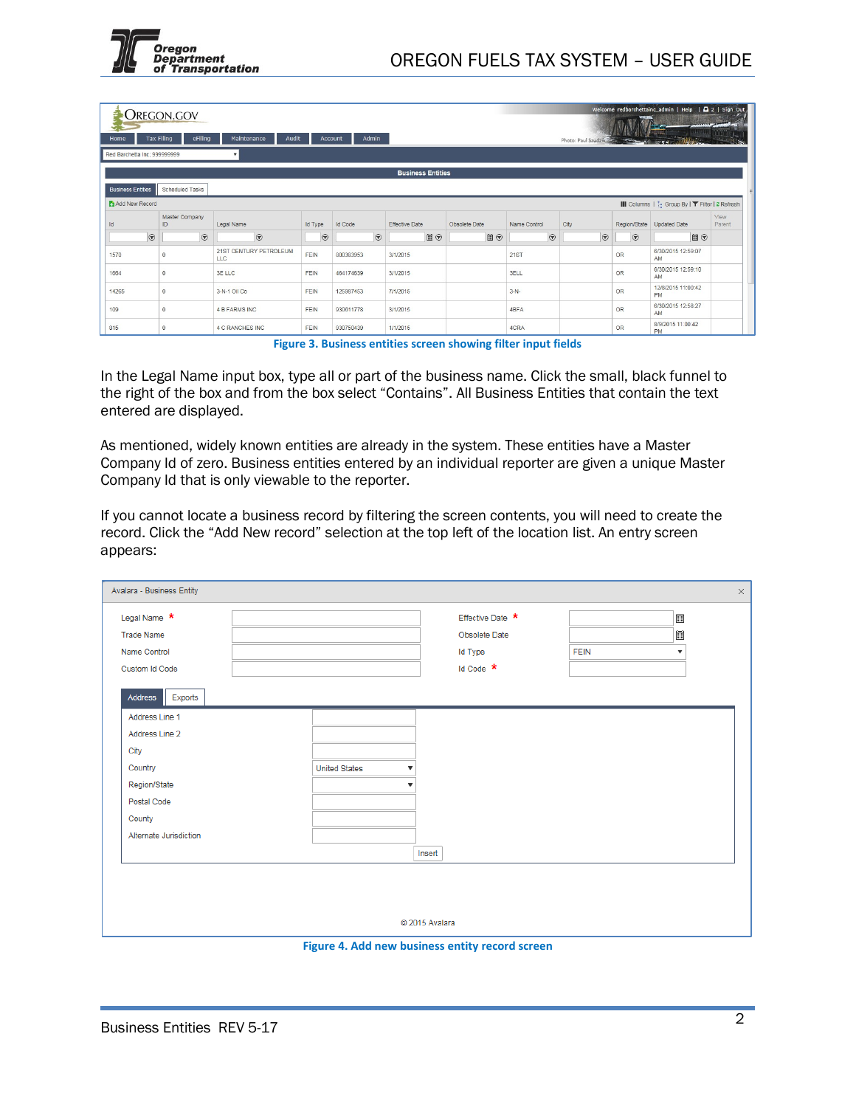

Welcome redbarchettainc\_admin | Help | Q 2 | Sign\_Out

**CREGON.GOV** 

|                              | UNLUUIN.UUV                           |                               |                |                  |                          |               |              |                     |           |                                                   | www.ramint-    |
|------------------------------|---------------------------------------|-------------------------------|----------------|------------------|--------------------------|---------------|--------------|---------------------|-----------|---------------------------------------------------|----------------|
| Home                         | eFiling<br><b>Tax Filing</b>          | Maintenance<br>Audit          |                | Admin<br>Account |                          |               |              | Photo: Paul Szudzik |           |                                                   |                |
| Red Barchetta Inc; 999999999 |                                       | $\mathbf{v}$                  |                |                  |                          |               |              |                     |           |                                                   |                |
|                              |                                       |                               |                |                  | <b>Business Entities</b> |               |              |                     |           |                                                   |                |
| <b>Business Entities</b>     | Scheduled Tasks                       |                               |                |                  |                          |               |              |                     |           |                                                   |                |
| Add New Record               |                                       |                               |                |                  |                          |               |              |                     |           | III Columns   i.e Group By   ▼ Filter   2 Refresh |                |
| Id                           | Master Company<br>ID.                 | Legal Name                    | <b>Id Type</b> | <b>Id Code</b>   | <b>Effective Date</b>    | Obsolete Date | Name Control | City                |           | Region/State Updated Date                         | View<br>Parent |
| $\odot$                      | $\Theta$                              | $\odot$                       | $\odot$        | $\odot$          | $\Box$                   | $\Box$        | $\odot$      | $\Theta$            | $\odot$   | ■⊙                                                |                |
| 1570                         | $\overline{0}$                        | 21ST CENTURY PETROLEUM<br>LLC | FEIN           | 800383953        | 3/1/2015                 |               | 21ST         |                     | <b>OR</b> | 6/30/2015 12:59:07<br>AM                          |                |
| 1664                         | $\begin{array}{c} 0 \\ 0 \end{array}$ | 3E LLC                        | FEIN           | 464174639        | 3/1/2015                 |               | 3ELL         |                     | OR        | 6/30/2015 12:59:10<br>AM                          |                |
| 14265                        | $\circ$                               | 3-N-1 Oil Co                  | <b>FEIN</b>    | 125987453        | 7/1/2015                 |               | $3-N-$       |                     | <b>OR</b> | 12/8/2015 11:00:42<br><b>PM</b>                   |                |
| 109                          | $\circ$                               | <b>4 B FARMS INC</b>          | FEIN           | 930611778        | 3/1/2015                 |               | 4BFA         |                     | <b>OR</b> | 6/30/2015 12:58:27<br>AM                          |                |
| 815                          | $\Omega$                              | 4 C RANCHES INC               | FEIN           | 930750439        | 1/1/2015                 |               | 4CRA         |                     | <b>OR</b> | 8/9/2015 11:00:42<br>PM                           |                |

**Figure 3. Business entities screen showing filter input fields**

In the Legal Name input box, type all or part of the business name. Click the small, black funnel to the right of the box and from the box select "Contains". All Business Entities that contain the text entered are displayed.

As mentioned, widely known entities are already in the system. These entities have a Master Company Id of zero. Business entities entered by an individual reporter are given a unique Master Company Id that is only viewable to the reporter.

If you cannot locate a business record by filtering the screen contents, you will need to create the record. Click the "Add New record" selection at the top left of the location list. An entry screen appears:

| Legal Name *           |                      |              | Effective Date * |             | Ē                       |  |
|------------------------|----------------------|--------------|------------------|-------------|-------------------------|--|
| <b>Trade Name</b>      |                      |              | Obsolete Date    |             | Ħ                       |  |
| Name Control           |                      |              | <b>Id Type</b>   | <b>FEIN</b> | $\overline{\mathbf{v}}$ |  |
| Custom Id Code         |                      |              | Id Code $*$      |             |                         |  |
| Address<br>Exports     |                      |              |                  |             |                         |  |
| Address Line 1         |                      |              |                  |             |                         |  |
| Address Line 2         |                      |              |                  |             |                         |  |
| City                   |                      |              |                  |             |                         |  |
| Country                | <b>United States</b> | $\mathbf{v}$ |                  |             |                         |  |
| Region/State           |                      |              |                  |             |                         |  |
| Postal Code            |                      |              |                  |             |                         |  |
| County                 |                      |              |                  |             |                         |  |
| Alternate Jurisdiction |                      |              |                  |             |                         |  |
|                        |                      | Insert       |                  |             |                         |  |
|                        |                      |              |                  |             |                         |  |
|                        |                      |              |                  |             |                         |  |
|                        |                      |              |                  |             |                         |  |

**Figure 4. Add new business entity record screen**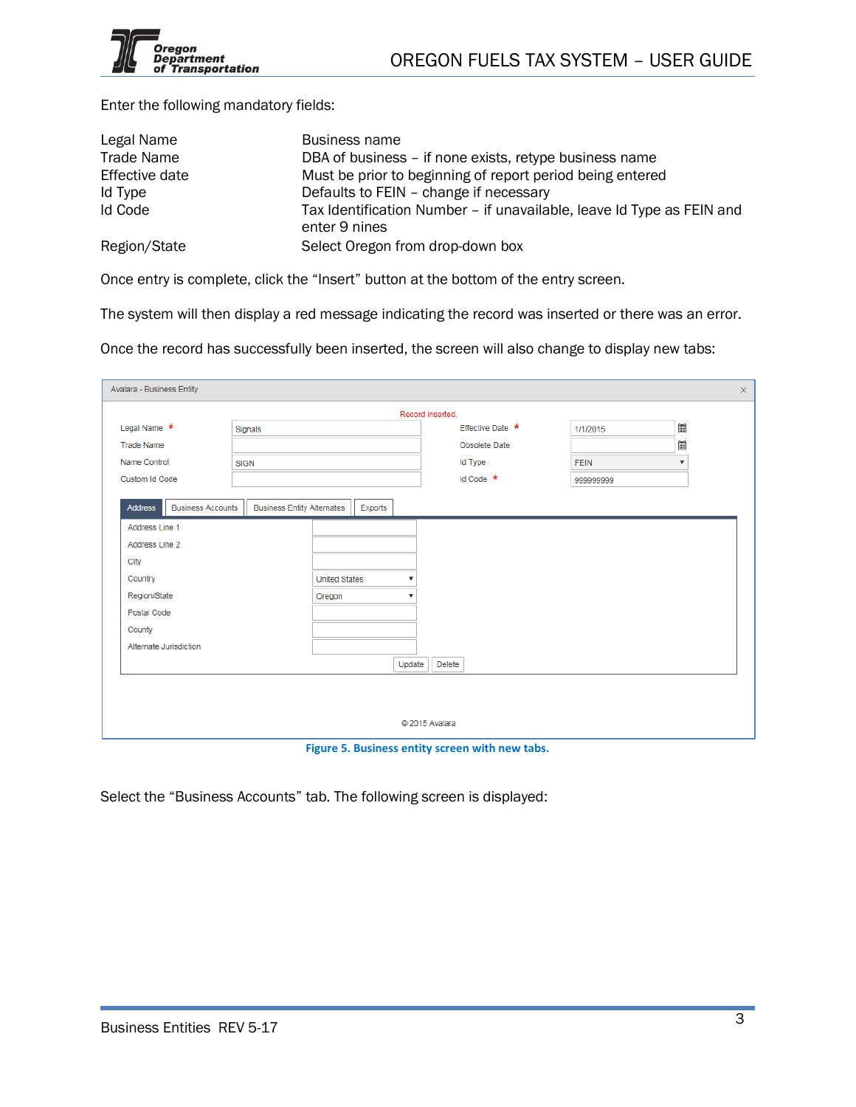Enter the following mandatory fields:

| Legal Name        | Business name                                                                          |
|-------------------|----------------------------------------------------------------------------------------|
| <b>Trade Name</b> | DBA of business – if none exists, retype business name                                 |
| Effective date    | Must be prior to beginning of report period being entered                              |
| Id Type           | Defaults to FEIN - change if necessary                                                 |
| Id Code           | Tax Identification Number - if unavailable, leave Id Type as FEIN and<br>enter 9 nines |
| Region/State      | Select Oregon from drop-down box                                                       |

Once entry is complete, click the "Insert" button at the bottom of the entry screen.

The system will then display a red message indicating the record was inserted or there was an error.

Once the record has successfully been inserted, the screen will also change to display new tabs:

|                                            |             |                                   |                      |         |        | Record inserted. |                  |             |                           |  |
|--------------------------------------------|-------------|-----------------------------------|----------------------|---------|--------|------------------|------------------|-------------|---------------------------|--|
| Legal Name *                               | Signals     |                                   |                      |         |        |                  | Effective Date * | 1/1/2015    | 圃                         |  |
| <b>Trade Name</b>                          |             |                                   |                      |         |        |                  | Obsolete Date    |             |                           |  |
| Name Control                               | <b>SIGN</b> |                                   |                      |         |        |                  | <b>Id Type</b>   | <b>FEIN</b> | $\boldsymbol{\mathrm{v}}$ |  |
| <b>Custom Id Code</b>                      |             |                                   |                      |         |        |                  | Id Code *        | 999999999   |                           |  |
| <b>Business Accounts</b><br><b>Address</b> |             | <b>Business Entity Alternates</b> |                      | Exports |        |                  |                  |             |                           |  |
| Address Line 1                             |             |                                   |                      |         |        |                  |                  |             |                           |  |
| Address Line 2                             |             |                                   |                      |         |        |                  |                  |             |                           |  |
| City                                       |             |                                   |                      |         |        |                  |                  |             |                           |  |
| Country                                    |             |                                   | <b>United States</b> |         |        |                  |                  |             |                           |  |
| Region/State                               |             |                                   | Oregon               |         | ▼      |                  |                  |             |                           |  |
| Postal Code                                |             |                                   |                      |         |        |                  |                  |             |                           |  |
| County                                     |             |                                   |                      |         |        |                  |                  |             |                           |  |
| Alternate Jurisdiction                     |             |                                   |                      |         |        |                  |                  |             |                           |  |
|                                            |             |                                   |                      |         | Update | Delete           |                  |             |                           |  |
|                                            |             |                                   |                      |         |        |                  |                  |             |                           |  |
|                                            |             |                                   |                      |         |        |                  |                  |             |                           |  |
|                                            |             |                                   |                      |         |        |                  |                  |             |                           |  |

**Figure 5. Business entity screen with new tabs.**

Select the "Business Accounts" tab. The following screen is displayed: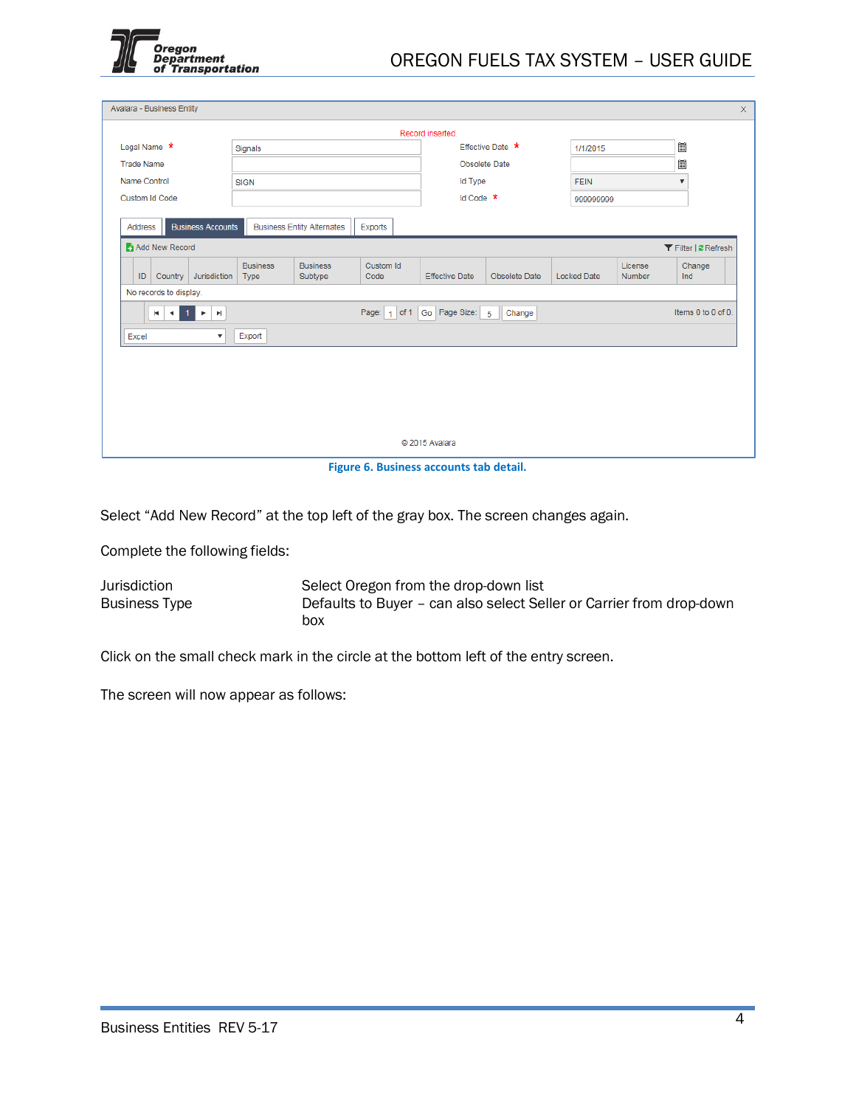

| Avalara - Business Entity       |                                       |                         |                                   |                   |                       |                          |                    |                   |                           |                      |
|---------------------------------|---------------------------------------|-------------------------|-----------------------------------|-------------------|-----------------------|--------------------------|--------------------|-------------------|---------------------------|----------------------|
|                                 |                                       |                         |                                   |                   | Record inserted.      |                          |                    |                   |                           |                      |
| Legal Name *                    |                                       | Signals                 |                                   |                   |                       | Effective Date *         | 1/1/2015           |                   | 圍                         |                      |
| <b>Trade Name</b>               |                                       |                         |                                   |                   |                       | Obsolete Date            |                    |                   | 圓                         |                      |
| Name Control                    |                                       | <b>SIGN</b>             |                                   |                   | <b>Id Type</b>        |                          | <b>FEIN</b>        |                   | $\boldsymbol{\mathrm{v}}$ |                      |
| Custom Id Code                  |                                       |                         |                                   |                   | Id Code *             |                          | 999999999          |                   |                           |                      |
| Address                         | <b>Business Accounts</b>              |                         | <b>Business Entity Alternates</b> | Exports           |                       |                          |                    |                   |                           |                      |
| Add New Record                  |                                       |                         |                                   |                   |                       |                          |                    |                   |                           | ▼ Filter   2 Refresh |
| Country<br>ID                   | Jurisdiction                          | <b>Business</b><br>Type | <b>Business</b><br>Subtype        | Custom Id<br>Code | <b>Effective Date</b> | Obsolete Date            | <b>Locked Date</b> | License<br>Number | Ind                       | Change               |
| No records to display.          |                                       |                         |                                   |                   |                       |                          |                    |                   |                           |                      |
| ×<br>41<br>$\blacktriangleleft$ | $\mathbb{H}$<br>$\blacktriangleright$ |                         |                                   | Page: $1$ of 1    | Go Page Size:         | $\overline{5}$<br>Change |                    |                   |                           | Items 0 to 0 of 0.   |
| Excel                           | $\boldsymbol{\mathrm{v}}$             | Export                  |                                   |                   |                       |                          |                    |                   |                           |                      |
|                                 |                                       |                         |                                   |                   |                       |                          |                    |                   |                           |                      |
|                                 |                                       |                         |                                   |                   |                       |                          |                    |                   |                           |                      |
|                                 |                                       |                         |                                   |                   |                       |                          |                    |                   |                           |                      |
|                                 |                                       |                         |                                   |                   |                       |                          |                    |                   |                           |                      |
|                                 |                                       |                         |                                   |                   |                       |                          |                    |                   |                           |                      |
|                                 |                                       |                         |                                   |                   | C 2015 Avalara        |                          |                    |                   |                           |                      |

**Figure 6. Business accounts tab detail.**

Select "Add New Record" at the top left of the gray box. The screen changes again.

Complete the following fields:

Jurisdiction Select Oregon from the drop-down list<br>Business Type Defaults to Buyer - can also select Sel Defaults to Buyer – can also select Seller or Carrier from drop-down box

Click on the small check mark in the circle at the bottom left of the entry screen.

The screen will now appear as follows: